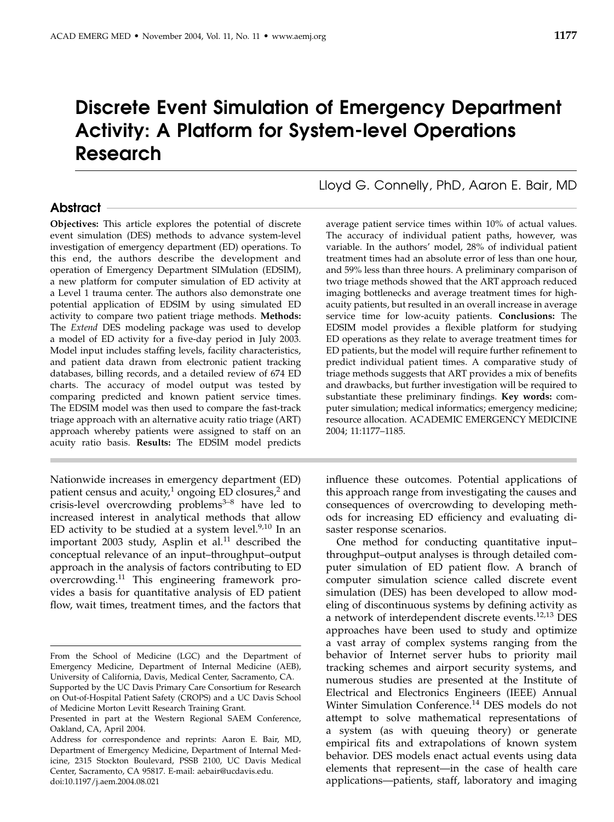# Discrete Event Simulation of Emergency Department Activity: A Platform for System-level Operations Research

# Abstract

Objectives: This article explores the potential of discrete event simulation (DES) methods to advance system-level investigation of emergency department (ED) operations. To this end, the authors describe the development and operation of Emergency Department SIMulation (EDSIM), a new platform for computer simulation of ED activity at a Level 1 trauma center. The authors also demonstrate one potential application of EDSIM by using simulated ED activity to compare two patient triage methods. Methods: The Extend DES modeling package was used to develop a model of ED activity for a five-day period in July 2003. Model input includes staffing levels, facility characteristics, and patient data drawn from electronic patient tracking databases, billing records, and a detailed review of 674 ED charts. The accuracy of model output was tested by comparing predicted and known patient service times. The EDSIM model was then used to compare the fast-track triage approach with an alternative acuity ratio triage (ART) approach whereby patients were assigned to staff on an acuity ratio basis. Results: The EDSIM model predicts

Nationwide increases in emergency department (ED) patient census and acuity, $1$  ongoing ED closures, $2$  and crisis-level overcrowding problems $3-8$  have led to increased interest in analytical methods that allow ED activity to be studied at a system level. $9,10$  In an important  $2003$  study, Asplin et al.<sup>11</sup> described the conceptual relevance of an input–throughput–output approach in the analysis of factors contributing to ED overcrowding.11 This engineering framework provides a basis for quantitative analysis of ED patient flow, wait times, treatment times, and the factors that Lloyd G. Connelly, PhD, Aaron E. Bair, MD

average patient service times within 10% of actual values. The accuracy of individual patient paths, however, was variable. In the authors' model, 28% of individual patient treatment times had an absolute error of less than one hour, and 59% less than three hours. A preliminary comparison of two triage methods showed that the ART approach reduced imaging bottlenecks and average treatment times for highacuity patients, but resulted in an overall increase in average service time for low-acuity patients. Conclusions: The EDSIM model provides a flexible platform for studying ED operations as they relate to average treatment times for ED patients, but the model will require further refinement to predict individual patient times. A comparative study of triage methods suggests that ART provides a mix of benefits and drawbacks, but further investigation will be required to substantiate these preliminary findings. Key words: computer simulation; medical informatics; emergency medicine; resource allocation. ACADEMIC EMERGENCY MEDICINE 2004; 11:1177–1185.

influence these outcomes. Potential applications of this approach range from investigating the causes and consequences of overcrowding to developing methods for increasing ED efficiency and evaluating disaster response scenarios.

One method for conducting quantitative input– throughput–output analyses is through detailed computer simulation of ED patient flow. A branch of computer simulation science called discrete event simulation (DES) has been developed to allow modeling of discontinuous systems by defining activity as a network of interdependent discrete events.12,13 DES approaches have been used to study and optimize a vast array of complex systems ranging from the behavior of Internet server hubs to priority mail tracking schemes and airport security systems, and numerous studies are presented at the Institute of Electrical and Electronics Engineers (IEEE) Annual Winter Simulation Conference.14 DES models do not attempt to solve mathematical representations of a system (as with queuing theory) or generate empirical fits and extrapolations of known system behavior. DES models enact actual events using data elements that represent—in the case of health care applications—patients, staff, laboratory and imaging

From the School of Medicine (LGC) and the Department of Emergency Medicine, Department of Internal Medicine (AEB), University of California, Davis, Medical Center, Sacramento, CA.

Supported by the UC Davis Primary Care Consortium for Research on Out-of-Hospital Patient Safety (CROPS) and a UC Davis School of Medicine Morton Levitt Research Training Grant.

Presented in part at the Western Regional SAEM Conference, Oakland, CA, April 2004.

Address for correspondence and reprints: Aaron E. Bair, MD, Department of Emergency Medicine, Department of Internal Medicine, 2315 Stockton Boulevard, PSSB 2100, UC Davis Medical Center, Sacramento, CA 95817. E-mail: aebair@ucdavis.edu. doi:10.1197/j.aem.2004.08.021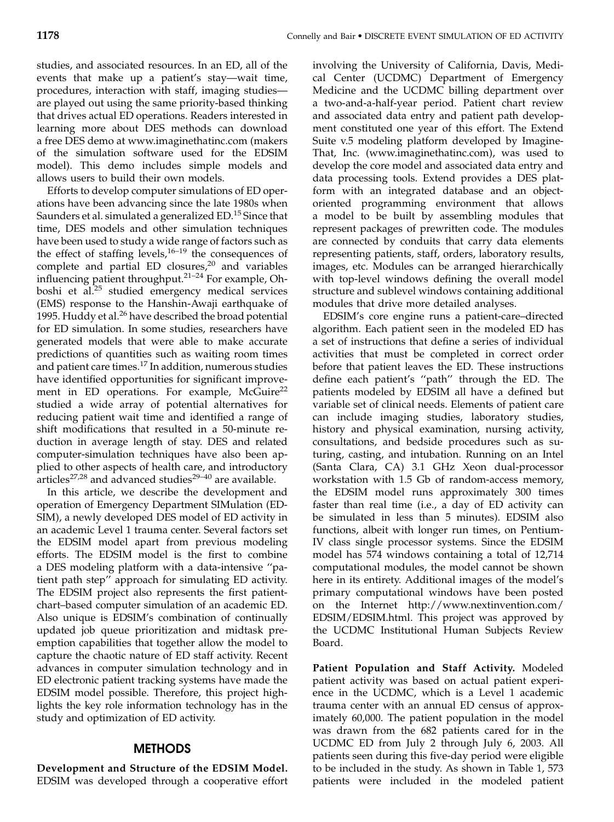studies, and associated resources. In an ED, all of the events that make up a patient's stay—wait time, procedures, interaction with staff, imaging studies are played out using the same priority-based thinking that drives actual ED operations. Readers interested in learning more about DES methods can download a free DES demo at www.imaginethatinc.com (makers of the simulation software used for the EDSIM model). This demo includes simple models and allows users to build their own models.

Efforts to develop computer simulations of ED operations have been advancing since the late 1980s when Saunders et al. simulated a generalized ED.<sup>15</sup> Since that time, DES models and other simulation techniques have been used to study a wide range of factors such as the effect of staffing levels, $16-19$  the consequences of complete and partial ED closures, $20$  and variables influencing patient throughput.<sup>21–24</sup> For example, Ohboshi et al.<sup>25</sup> studied emergency medical services (EMS) response to the Hanshin-Awaji earthquake of 1995. Huddy et al. $^{26}$  have described the broad potential for ED simulation. In some studies, researchers have generated models that were able to make accurate predictions of quantities such as waiting room times and patient care times.<sup>17</sup> In addition, numerous studies have identified opportunities for significant improvement in ED operations. For example, McGuire<sup>22</sup> studied a wide array of potential alternatives for reducing patient wait time and identified a range of shift modifications that resulted in a 50-minute reduction in average length of stay. DES and related computer-simulation techniques have also been applied to other aspects of health care, and introductory articles<sup>27,28</sup> and advanced studies<sup>29–40</sup> are available.

In this article, we describe the development and operation of Emergency Department SIMulation (ED-SIM), a newly developed DES model of ED activity in an academic Level 1 trauma center. Several factors set the EDSIM model apart from previous modeling efforts. The EDSIM model is the first to combine a DES modeling platform with a data-intensive ''patient path step'' approach for simulating ED activity. The EDSIM project also represents the first patientchart–based computer simulation of an academic ED. Also unique is EDSIM's combination of continually updated job queue prioritization and midtask preemption capabilities that together allow the model to capture the chaotic nature of ED staff activity. Recent advances in computer simulation technology and in ED electronic patient tracking systems have made the EDSIM model possible. Therefore, this project highlights the key role information technology has in the study and optimization of ED activity.

#### **METHODS**

Development and Structure of the EDSIM Model. EDSIM was developed through a cooperative effort involving the University of California, Davis, Medical Center (UCDMC) Department of Emergency Medicine and the UCDMC billing department over a two-and-a-half-year period. Patient chart review and associated data entry and patient path development constituted one year of this effort. The Extend Suite v.5 modeling platform developed by Imagine-That, Inc. (www.imaginethatinc.com), was used to develop the core model and associated data entry and data processing tools. Extend provides a DES platform with an integrated database and an objectoriented programming environment that allows a model to be built by assembling modules that represent packages of prewritten code. The modules are connected by conduits that carry data elements representing patients, staff, orders, laboratory results, images, etc. Modules can be arranged hierarchically with top-level windows defining the overall model structure and sublevel windows containing additional modules that drive more detailed analyses.

EDSIM's core engine runs a patient-care–directed algorithm. Each patient seen in the modeled ED has a set of instructions that define a series of individual activities that must be completed in correct order before that patient leaves the ED. These instructions define each patient's ''path'' through the ED. The patients modeled by EDSIM all have a defined but variable set of clinical needs. Elements of patient care can include imaging studies, laboratory studies, history and physical examination, nursing activity, consultations, and bedside procedures such as suturing, casting, and intubation. Running on an Intel (Santa Clara, CA) 3.1 GHz Xeon dual-processor workstation with 1.5 Gb of random-access memory, the EDSIM model runs approximately 300 times faster than real time (i.e., a day of ED activity can be simulated in less than 5 minutes). EDSIM also functions, albeit with longer run times, on Pentium-IV class single processor systems. Since the EDSIM model has 574 windows containing a total of 12,714 computational modules, the model cannot be shown here in its entirety. Additional images of the model's primary computational windows have been posted on the Internet http://www.nextinvention.com/ EDSIM/EDSIM.html. This project was approved by the UCDMC Institutional Human Subjects Review Board.

Patient Population and Staff Activity. Modeled patient activity was based on actual patient experience in the UCDMC, which is a Level 1 academic trauma center with an annual ED census of approximately 60,000. The patient population in the model was drawn from the 682 patients cared for in the UCDMC ED from July 2 through July 6, 2003. All patients seen during this five-day period were eligible to be included in the study. As shown in Table 1, 573 patients were included in the modeled patient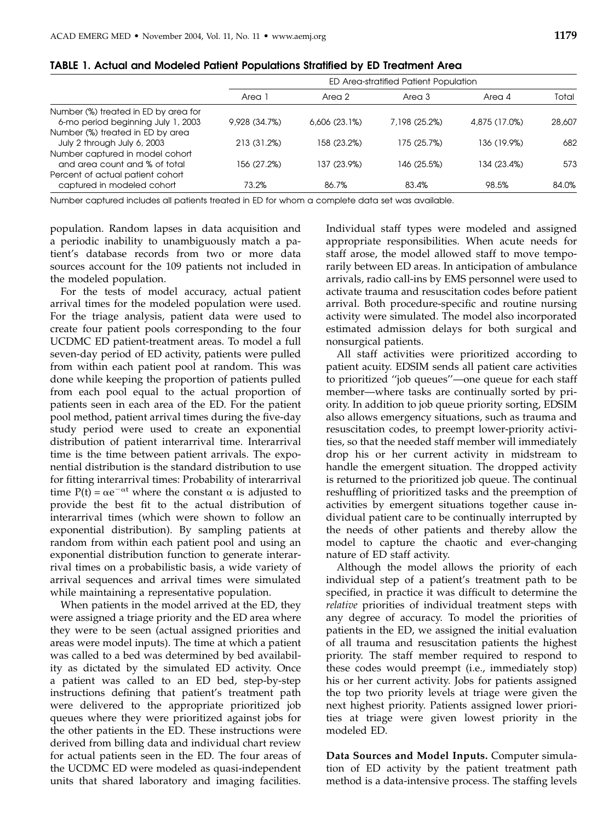|                                      | ED Area-stratified Patient Population |              |               |               |        |
|--------------------------------------|---------------------------------------|--------------|---------------|---------------|--------|
|                                      | Area 1                                | Area 2       | Area 3        | Area 4        | Total  |
| Number (%) treated in ED by area for |                                       |              |               |               |        |
| 6-mo period beginning July 1, 2003   | 9,928 (34.7%)                         | 6,606(23.1%) | 7,198 (25,2%) | 4,875 (17.0%) | 28,607 |
| Number (%) treated in ED by area     |                                       |              |               |               |        |
| July 2 through July 6, 2003          | 213 (31.2%)                           | 158 (23.2%)  | 175 (25.7%)   | 136 (19.9%)   | 682    |
| Number captured in model cohort      |                                       |              |               |               |        |
| and area count and % of total        | 156 (27.2%)                           | 137 (23.9%)  | 146 (25.5%)   | 134 (23.4%)   | 573    |
| Percent of actual patient cohort     |                                       |              |               |               |        |
| captured in modeled cohort           | 73.2%                                 | 86.7%        | 83.4%         | 98.5%         | 84.0%  |

Number captured includes all patients treated in ED for whom a complete data set was available.

population. Random lapses in data acquisition and a periodic inability to unambiguously match a patient's database records from two or more data sources account for the 109 patients not included in the modeled population.

For the tests of model accuracy, actual patient arrival times for the modeled population were used. For the triage analysis, patient data were used to create four patient pools corresponding to the four UCDMC ED patient-treatment areas. To model a full seven-day period of ED activity, patients were pulled from within each patient pool at random. This was done while keeping the proportion of patients pulled from each pool equal to the actual proportion of patients seen in each area of the ED. For the patient pool method, patient arrival times during the five-day study period were used to create an exponential distribution of patient interarrival time. Interarrival time is the time between patient arrivals. The exponential distribution is the standard distribution to use for fitting interarrival times: Probability of interarrival time  $P(t) = \alpha e^{-\alpha t}$  where the constant  $\alpha$  is adjusted to provide the best fit to the actual distribution of interarrival times (which were shown to follow an exponential distribution). By sampling patients at random from within each patient pool and using an exponential distribution function to generate interarrival times on a probabilistic basis, a wide variety of arrival sequences and arrival times were simulated while maintaining a representative population.

When patients in the model arrived at the ED, they were assigned a triage priority and the ED area where they were to be seen (actual assigned priorities and areas were model inputs). The time at which a patient was called to a bed was determined by bed availability as dictated by the simulated ED activity. Once a patient was called to an ED bed, step-by-step instructions defining that patient's treatment path were delivered to the appropriate prioritized job queues where they were prioritized against jobs for the other patients in the ED. These instructions were derived from billing data and individual chart review for actual patients seen in the ED. The four areas of the UCDMC ED were modeled as quasi-independent units that shared laboratory and imaging facilities.

Individual staff types were modeled and assigned appropriate responsibilities. When acute needs for staff arose, the model allowed staff to move temporarily between ED areas. In anticipation of ambulance arrivals, radio call-ins by EMS personnel were used to activate trauma and resuscitation codes before patient arrival. Both procedure-specific and routine nursing activity were simulated. The model also incorporated estimated admission delays for both surgical and nonsurgical patients.

All staff activities were prioritized according to patient acuity. EDSIM sends all patient care activities to prioritized ''job queues''—one queue for each staff member—where tasks are continually sorted by priority. In addition to job queue priority sorting, EDSIM also allows emergency situations, such as trauma and resuscitation codes, to preempt lower-priority activities, so that the needed staff member will immediately drop his or her current activity in midstream to handle the emergent situation. The dropped activity is returned to the prioritized job queue. The continual reshuffling of prioritized tasks and the preemption of activities by emergent situations together cause individual patient care to be continually interrupted by the needs of other patients and thereby allow the model to capture the chaotic and ever-changing nature of ED staff activity.

Although the model allows the priority of each individual step of a patient's treatment path to be specified, in practice it was difficult to determine the relative priorities of individual treatment steps with any degree of accuracy. To model the priorities of patients in the ED, we assigned the initial evaluation of all trauma and resuscitation patients the highest priority. The staff member required to respond to these codes would preempt (i.e., immediately stop) his or her current activity. Jobs for patients assigned the top two priority levels at triage were given the next highest priority. Patients assigned lower priorities at triage were given lowest priority in the modeled ED.

Data Sources and Model Inputs. Computer simulation of ED activity by the patient treatment path method is a data-intensive process. The staffing levels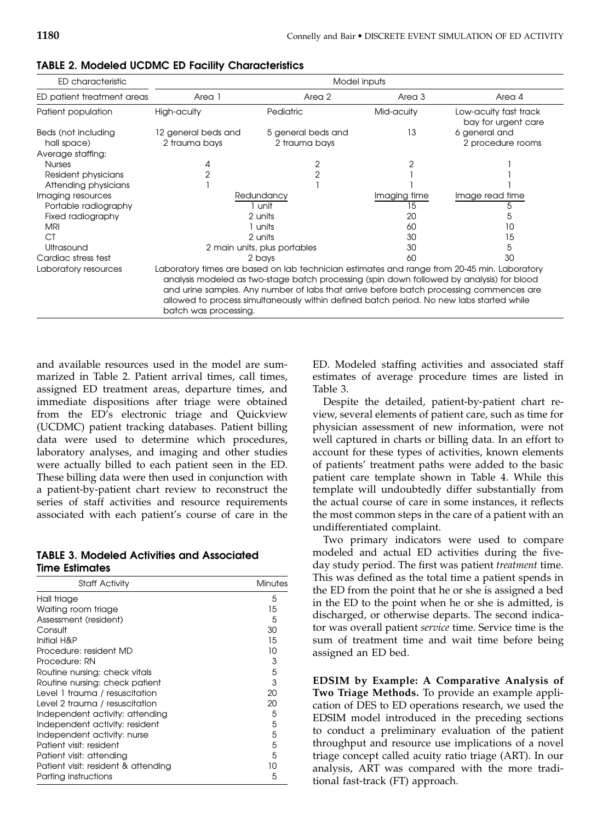| ED characteristic                                       | Model inputs                                                                                                                                                                                                                                                                                                                                                                                             |                                     |              |                                              |  |  |
|---------------------------------------------------------|----------------------------------------------------------------------------------------------------------------------------------------------------------------------------------------------------------------------------------------------------------------------------------------------------------------------------------------------------------------------------------------------------------|-------------------------------------|--------------|----------------------------------------------|--|--|
| ED patient treatment areas                              | Area 1                                                                                                                                                                                                                                                                                                                                                                                                   | Area 2                              | Area 3       | Area 4                                       |  |  |
| Patient population                                      | High-acuity                                                                                                                                                                                                                                                                                                                                                                                              | Pediatric                           | Mid-acuity   | Low-acuity fast track<br>bay for urgent care |  |  |
| Beds (not including<br>hall space)<br>Average staffing: | 12 general beds and<br>2 trauma bays                                                                                                                                                                                                                                                                                                                                                                     | 5 general beds and<br>2 trauma bays | 13           | 6 general and<br>2 procedure rooms           |  |  |
| <b>Nurses</b>                                           |                                                                                                                                                                                                                                                                                                                                                                                                          | 2                                   |              |                                              |  |  |
| Resident physicians                                     | $\overline{2}$                                                                                                                                                                                                                                                                                                                                                                                           | 2                                   |              |                                              |  |  |
| Attending physicians                                    |                                                                                                                                                                                                                                                                                                                                                                                                          |                                     |              |                                              |  |  |
| Imaging resources                                       | Redundancy                                                                                                                                                                                                                                                                                                                                                                                               |                                     | Imaging time | Image read time                              |  |  |
| Portable radiography                                    |                                                                                                                                                                                                                                                                                                                                                                                                          | unit                                | 15           |                                              |  |  |
| Fixed radiography                                       | 2 units                                                                                                                                                                                                                                                                                                                                                                                                  |                                     | 20           |                                              |  |  |
| <b>MRI</b>                                              | 1 units                                                                                                                                                                                                                                                                                                                                                                                                  |                                     | 60           | າດ                                           |  |  |
| <b>CT</b>                                               | 2 units                                                                                                                                                                                                                                                                                                                                                                                                  |                                     | 30           | 15                                           |  |  |
| Ultrasound                                              | 2 main units, plus portables                                                                                                                                                                                                                                                                                                                                                                             |                                     | 30           | 5                                            |  |  |
| Cardiac stress test                                     | 2 bays                                                                                                                                                                                                                                                                                                                                                                                                   |                                     | 60           | 30                                           |  |  |
| Laboratory resources                                    | Laboratory times are based on lab technician estimates and range from 20-45 min. Laboratory<br>analysis modeled as two-stage batch processing (spin down followed by analysis) for blood<br>and urine samples. Any number of labs that arrive before batch processing commences are<br>allowed to process simultaneously within defined batch period. No new labs started while<br>batch was processing. |                                     |              |                                              |  |  |

#### TABLE 2. Modeled UCDMC ED Facility Characteristics

and available resources used in the model are summarized in Table 2. Patient arrival times, call times, assigned ED treatment areas, departure times, and immediate dispositions after triage were obtained from the ED's electronic triage and Quickview (UCDMC) patient tracking databases. Patient billing data were used to determine which procedures, laboratory analyses, and imaging and other studies were actually billed to each patient seen in the ED. These billing data were then used in conjunction with a patient-by-patient chart review to reconstruct the series of staff activities and resource requirements associated with each patient's course of care in the

### TABLE 3. Modeled Activities and Associated Time Estimates

| <b>Staff Activity</b>               | <b>Minutes</b> |
|-------------------------------------|----------------|
| Hall triage                         | 5              |
| Waiting room triage                 | 15             |
| Assessment (resident)               | 5              |
| Consult                             | 30             |
| Initial H&P                         | 15             |
| Procedure: resident MD              | 10             |
| Procedure: RN                       | 3              |
| Routine nursing: check vitals       | 5              |
| Routine nursing: check patient      | 3              |
| Level 1 trauma / resuscitation      | 20             |
| Level 2 trauma / resuscitation      | 20             |
| Independent activity: attending     | 5              |
| Independent activity: resident      | 5              |
| Independent activity: nurse         | 5              |
| Patient visit: resident             | 5              |
| Patient visit: attending            | 5              |
| Patient visit: resident & attending | 10             |
| Parting instructions                | 5              |

ED. Modeled staffing activities and associated staff estimates of average procedure times are listed in Table 3.

Despite the detailed, patient-by-patient chart review, several elements of patient care, such as time for physician assessment of new information, were not well captured in charts or billing data. In an effort to account for these types of activities, known elements of patients' treatment paths were added to the basic patient care template shown in Table 4. While this template will undoubtedly differ substantially from the actual course of care in some instances, it reflects the most common steps in the care of a patient with an undifferentiated complaint.

Two primary indicators were used to compare modeled and actual ED activities during the fiveday study period. The first was patient treatment time. This was defined as the total time a patient spends in the ED from the point that he or she is assigned a bed in the ED to the point when he or she is admitted, is discharged, or otherwise departs. The second indicator was overall patient service time. Service time is the sum of treatment time and wait time before being assigned an ED bed.

EDSIM by Example: A Comparative Analysis of Two Triage Methods. To provide an example application of DES to ED operations research, we used the EDSIM model introduced in the preceding sections to conduct a preliminary evaluation of the patient throughput and resource use implications of a novel triage concept called acuity ratio triage (ART). In our analysis, ART was compared with the more traditional fast-track (FT) approach.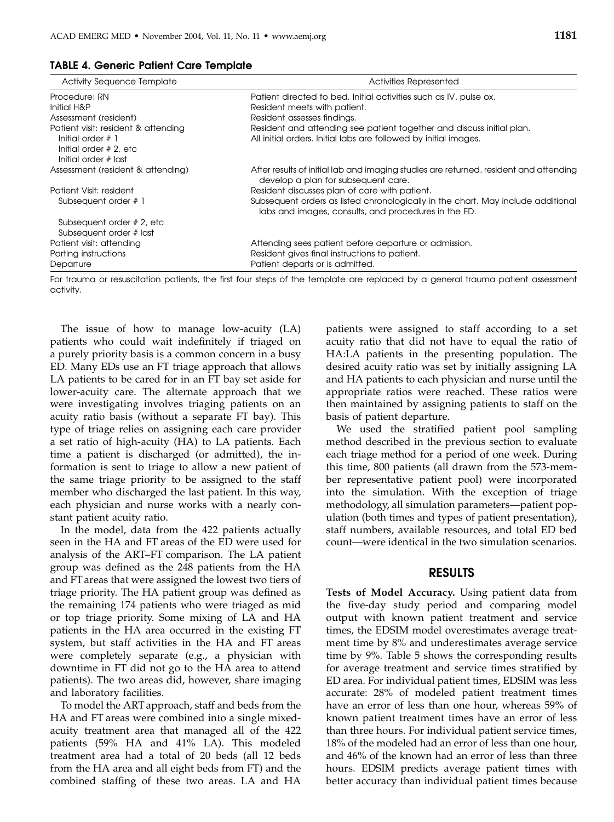| I  |    |               |
|----|----|---------------|
| -- | -- | ×<br>۰,<br>-- |

|  |  |  |  |  |  | <b>TABLE 4. Generic Patient Care Template</b> |
|--|--|--|--|--|--|-----------------------------------------------|
|--|--|--|--|--|--|-----------------------------------------------|

| <b>Activity Sequence Template</b>   | <b>Activities Represented</b>                                                                                                            |  |  |  |
|-------------------------------------|------------------------------------------------------------------------------------------------------------------------------------------|--|--|--|
| Procedure: RN                       | Patient directed to bed. Initial activities such as IV, pulse ox.                                                                        |  |  |  |
| Initial H&P                         | Resident meets with patient.                                                                                                             |  |  |  |
| Assessment (resident)               | Resident assesses findings.                                                                                                              |  |  |  |
| Patient visit: resident & attending | Resident and attending see patient together and discuss initial plan.                                                                    |  |  |  |
| Initial order $# 1$                 | All initial orders. Initial labs are followed by initial images.                                                                         |  |  |  |
| Initial order $# 2$ , etc           |                                                                                                                                          |  |  |  |
| Initial order $#$ last              |                                                                                                                                          |  |  |  |
| Assessment (resident & attending)   | After results of initial lab and imaging studies are returned, resident and attending<br>develop a plan for subsequent care.             |  |  |  |
| Patient Visit: resident             | Resident discusses plan of care with patient.                                                                                            |  |  |  |
| Subsequent order # 1                | Subsequent orders as listed chronologically in the chart. May include additional<br>labs and images, consults, and procedures in the ED. |  |  |  |
| Subsequent order $# 2$ , etc        |                                                                                                                                          |  |  |  |
| Subsequent order # last             |                                                                                                                                          |  |  |  |
| Patient visit: attending            | Attending sees patient before departure or admission.                                                                                    |  |  |  |
| Parting instructions                | Resident gives final instructions to patient.                                                                                            |  |  |  |
| Departure                           | Patient departs or is admitted.                                                                                                          |  |  |  |

For trauma or resuscitation patients, the first four steps of the template are replaced by a general trauma patient assessment activity.

The issue of how to manage low-acuity (LA) patients who could wait indefinitely if triaged on a purely priority basis is a common concern in a busy ED. Many EDs use an FT triage approach that allows LA patients to be cared for in an FT bay set aside for lower-acuity care. The alternate approach that we were investigating involves triaging patients on an acuity ratio basis (without a separate FT bay). This type of triage relies on assigning each care provider a set ratio of high-acuity (HA) to LA patients. Each time a patient is discharged (or admitted), the information is sent to triage to allow a new patient of the same triage priority to be assigned to the staff member who discharged the last patient. In this way, each physician and nurse works with a nearly constant patient acuity ratio.

In the model, data from the 422 patients actually seen in the HA and FT areas of the ED were used for analysis of the ART–FT comparison. The LA patient group was defined as the 248 patients from the HA and FT areas that were assigned the lowest two tiers of triage priority. The HA patient group was defined as the remaining 174 patients who were triaged as mid or top triage priority. Some mixing of LA and HA patients in the HA area occurred in the existing FT system, but staff activities in the HA and FT areas were completely separate (e.g., a physician with downtime in FT did not go to the HA area to attend patients). The two areas did, however, share imaging and laboratory facilities.

To model the ART approach, staff and beds from the HA and FT areas were combined into a single mixedacuity treatment area that managed all of the 422 patients (59% HA and 41% LA). This modeled treatment area had a total of 20 beds (all 12 beds from the HA area and all eight beds from FT) and the combined staffing of these two areas. LA and HA patients were assigned to staff according to a set acuity ratio that did not have to equal the ratio of HA:LA patients in the presenting population. The desired acuity ratio was set by initially assigning LA and HA patients to each physician and nurse until the appropriate ratios were reached. These ratios were then maintained by assigning patients to staff on the basis of patient departure.

We used the stratified patient pool sampling method described in the previous section to evaluate each triage method for a period of one week. During this time, 800 patients (all drawn from the 573-member representative patient pool) were incorporated into the simulation. With the exception of triage methodology, all simulation parameters—patient population (both times and types of patient presentation), staff numbers, available resources, and total ED bed count—were identical in the two simulation scenarios.

#### RESULTS

Tests of Model Accuracy. Using patient data from the five-day study period and comparing model output with known patient treatment and service times, the EDSIM model overestimates average treatment time by 8% and underestimates average service time by 9%. Table 5 shows the corresponding results for average treatment and service times stratified by ED area. For individual patient times, EDSIM was less accurate: 28% of modeled patient treatment times have an error of less than one hour, whereas 59% of known patient treatment times have an error of less than three hours. For individual patient service times, 18% of the modeled had an error of less than one hour, and 46% of the known had an error of less than three hours. EDSIM predicts average patient times with better accuracy than individual patient times because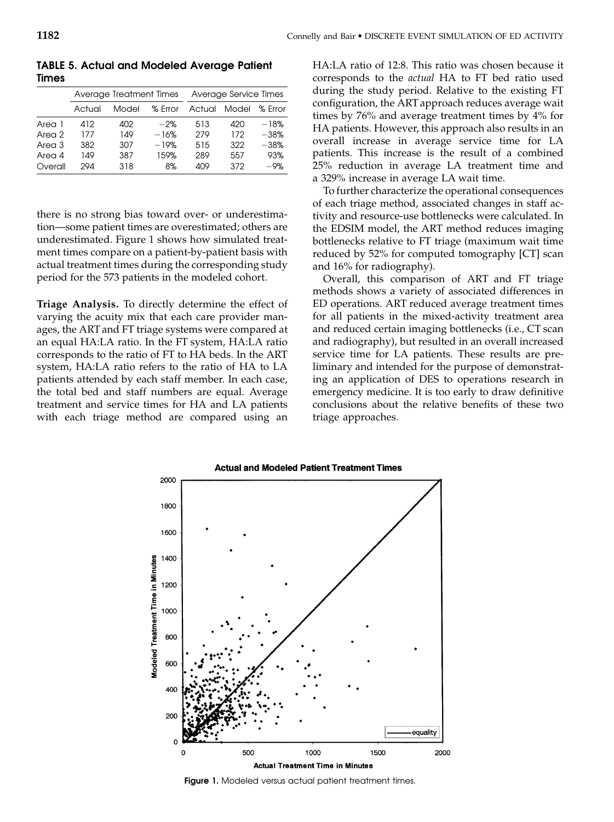|                   | Average Treatment Times |            |            | Average Service Times |            |              |
|-------------------|-------------------------|------------|------------|-----------------------|------------|--------------|
|                   | Actual                  | Model      | % Error    | Actual                | Model      | $%$ Frror    |
| Area 1            | 412                     | 402        | $-2%$      | 513                   | 420        | $-18%$       |
| Area 2            | 177                     | 149        | $-16%$     | 279                   | 172        | $-38%$       |
| Area 3            | 382                     | 307        | $-19%$     | 515                   | 322        | $-38%$       |
| Area 4<br>Overall | 149<br>294              | 387<br>318 | 159%<br>8% | 289<br>409            | 557<br>372 | 93%<br>$-9%$ |

TABLE 5. Actual and Modeled Average Patient Times

there is no strong bias toward over- or underestimation—some patient times are overestimated; others are underestimated. Figure 1 shows how simulated treatment times compare on a patient-by-patient basis with actual treatment times during the corresponding study period for the 573 patients in the modeled cohort.

Triage Analysis. To directly determine the effect of varying the acuity mix that each care provider manages, the ART and FT triage systems were compared at an equal HA:LA ratio. In the FT system, HA:LA ratio corresponds to the ratio of FT to HA beds. In the ART system, HA:LA ratio refers to the ratio of HA to LA patients attended by each staff member. In each case, the total bed and staff numbers are equal. Average treatment and service times for HA and LA patients with each triage method are compared using an HA:LA ratio of 12:8. This ratio was chosen because it corresponds to the actual HA to FT bed ratio used during the study period. Relative to the existing FT configuration, the ART approach reduces average wait times by 76% and average treatment times by 4% for HA patients. However, this approach also results in an overall increase in average service time for LA patients. This increase is the result of a combined 25% reduction in average LA treatment time and a 329% increase in average LA wait time.

To further characterize the operational consequences of each triage method, associated changes in staff activity and resource-use bottlenecks were calculated. In the EDSIM model, the ART method reduces imaging bottlenecks relative to FT triage (maximum wait time reduced by 52% for computed tomography [CT] scan and 16% for radiography).

Overall, this comparison of ART and FT triage methods shows a variety of associated differences in ED operations. ART reduced average treatment times for all patients in the mixed-activity treatment area and reduced certain imaging bottlenecks (i.e., CT scan and radiography), but resulted in an overall increased service time for LA patients. These results are preliminary and intended for the purpose of demonstrating an application of DES to operations research in emergency medicine. It is too early to draw definitive conclusions about the relative benefits of these two triage approaches.



Figure 1. Modeled versus actual patient treatment times.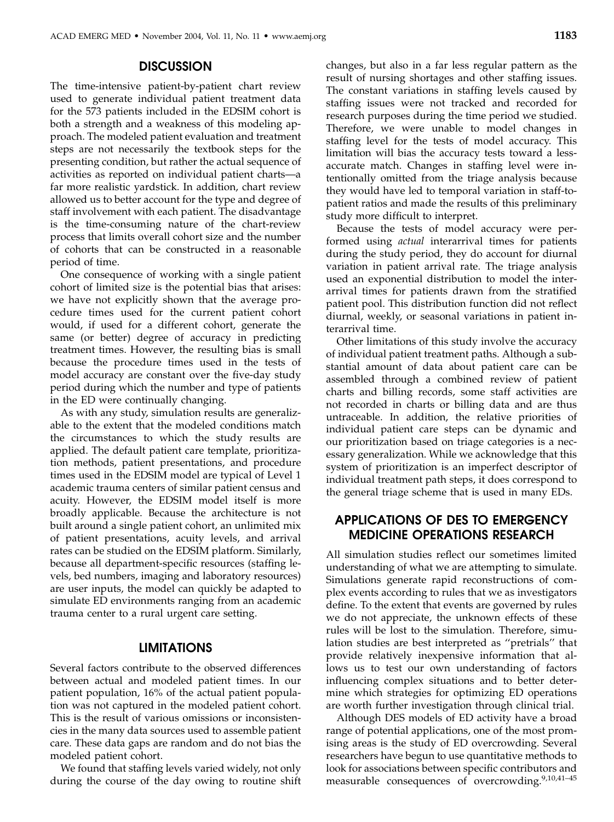#### **DISCUSSION**

The time-intensive patient-by-patient chart review used to generate individual patient treatment data for the 573 patients included in the EDSIM cohort is both a strength and a weakness of this modeling approach. The modeled patient evaluation and treatment steps are not necessarily the textbook steps for the presenting condition, but rather the actual sequence of activities as reported on individual patient charts—a far more realistic yardstick. In addition, chart review allowed us to better account for the type and degree of staff involvement with each patient. The disadvantage is the time-consuming nature of the chart-review process that limits overall cohort size and the number of cohorts that can be constructed in a reasonable period of time.

One consequence of working with a single patient cohort of limited size is the potential bias that arises: we have not explicitly shown that the average procedure times used for the current patient cohort would, if used for a different cohort, generate the same (or better) degree of accuracy in predicting treatment times. However, the resulting bias is small because the procedure times used in the tests of model accuracy are constant over the five-day study period during which the number and type of patients in the ED were continually changing.

As with any study, simulation results are generalizable to the extent that the modeled conditions match the circumstances to which the study results are applied. The default patient care template, prioritization methods, patient presentations, and procedure times used in the EDSIM model are typical of Level 1 academic trauma centers of similar patient census and acuity. However, the EDSIM model itself is more broadly applicable. Because the architecture is not built around a single patient cohort, an unlimited mix of patient presentations, acuity levels, and arrival rates can be studied on the EDSIM platform. Similarly, because all department-specific resources (staffing levels, bed numbers, imaging and laboratory resources) are user inputs, the model can quickly be adapted to simulate ED environments ranging from an academic trauma center to a rural urgent care setting.

### LIMITATIONS

Several factors contribute to the observed differences between actual and modeled patient times. In our patient population, 16% of the actual patient population was not captured in the modeled patient cohort. This is the result of various omissions or inconsistencies in the many data sources used to assemble patient care. These data gaps are random and do not bias the modeled patient cohort.

We found that staffing levels varied widely, not only during the course of the day owing to routine shift changes, but also in a far less regular pattern as the result of nursing shortages and other staffing issues. The constant variations in staffing levels caused by staffing issues were not tracked and recorded for research purposes during the time period we studied. Therefore, we were unable to model changes in staffing level for the tests of model accuracy. This limitation will bias the accuracy tests toward a lessaccurate match. Changes in staffing level were intentionally omitted from the triage analysis because they would have led to temporal variation in staff-topatient ratios and made the results of this preliminary study more difficult to interpret.

Because the tests of model accuracy were performed using actual interarrival times for patients during the study period, they do account for diurnal variation in patient arrival rate. The triage analysis used an exponential distribution to model the interarrival times for patients drawn from the stratified patient pool. This distribution function did not reflect diurnal, weekly, or seasonal variations in patient interarrival time.

Other limitations of this study involve the accuracy of individual patient treatment paths. Although a substantial amount of data about patient care can be assembled through a combined review of patient charts and billing records, some staff activities are not recorded in charts or billing data and are thus untraceable. In addition, the relative priorities of individual patient care steps can be dynamic and our prioritization based on triage categories is a necessary generalization. While we acknowledge that this system of prioritization is an imperfect descriptor of individual treatment path steps, it does correspond to the general triage scheme that is used in many EDs.

## APPLICATIONS OF DES TO EMERGENCY MEDICINE OPERATIONS RESEARCH

All simulation studies reflect our sometimes limited understanding of what we are attempting to simulate. Simulations generate rapid reconstructions of complex events according to rules that we as investigators define. To the extent that events are governed by rules we do not appreciate, the unknown effects of these rules will be lost to the simulation. Therefore, simulation studies are best interpreted as ''pretrials'' that provide relatively inexpensive information that allows us to test our own understanding of factors influencing complex situations and to better determine which strategies for optimizing ED operations are worth further investigation through clinical trial.

Although DES models of ED activity have a broad range of potential applications, one of the most promising areas is the study of ED overcrowding. Several researchers have begun to use quantitative methods to look for associations between specific contributors and measurable consequences of overcrowding.<sup>9,10,41-45</sup>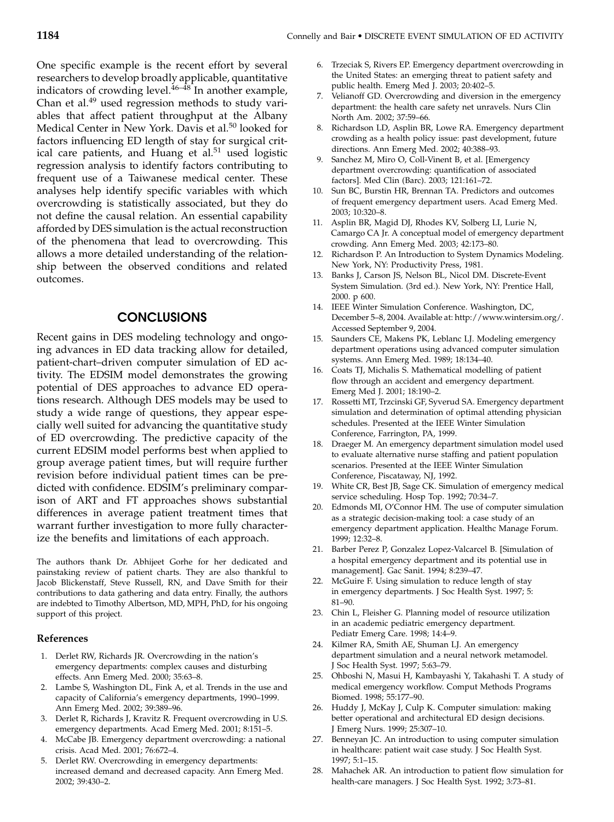One specific example is the recent effort by several researchers to develop broadly applicable, quantitative indicators of crowding level.46–48 In another example, Chan et al. $49$  used regression methods to study variables that affect patient throughput at the Albany Medical Center in New York. Davis et al.<sup>50</sup> looked for factors influencing ED length of stay for surgical critical care patients, and Huang et al.<sup>51</sup> used logistic regression analysis to identify factors contributing to frequent use of a Taiwanese medical center. These analyses help identify specific variables with which overcrowding is statistically associated, but they do not define the causal relation. An essential capability afforded by DES simulation is the actual reconstruction of the phenomena that lead to overcrowding. This allows a more detailed understanding of the relationship between the observed conditions and related outcomes.

### **CONCLUSIONS**

Recent gains in DES modeling technology and ongoing advances in ED data tracking allow for detailed, patient-chart–driven computer simulation of ED activity. The EDSIM model demonstrates the growing potential of DES approaches to advance ED operations research. Although DES models may be used to study a wide range of questions, they appear especially well suited for advancing the quantitative study of ED overcrowding. The predictive capacity of the current EDSIM model performs best when applied to group average patient times, but will require further revision before individual patient times can be predicted with confidence. EDSIM's preliminary comparison of ART and FT approaches shows substantial differences in average patient treatment times that warrant further investigation to more fully characterize the benefits and limitations of each approach.

The authors thank Dr. Abhijeet Gorhe for her dedicated and painstaking review of patient charts. They are also thankful to Jacob Blickenstaff, Steve Russell, RN, and Dave Smith for their contributions to data gathering and data entry. Finally, the authors are indebted to Timothy Albertson, MD, MPH, PhD, for his ongoing support of this project.

#### References

- 1. Derlet RW, Richards JR. Overcrowding in the nation's emergency departments: complex causes and disturbing effects. Ann Emerg Med. 2000; 35:63–8.
- Lambe S, Washington DL, Fink A, et al. Trends in the use and capacity of California's emergency departments, 1990–1999. Ann Emerg Med. 2002; 39:389–96.
- 3. Derlet R, Richards J, Kravitz R. Frequent overcrowding in U.S. emergency departments. Acad Emerg Med. 2001; 8:151–5.
- 4. McCabe JB. Emergency department overcrowding: a national crisis. Acad Med. 2001; 76:672–4.
- Derlet RW. Overcrowding in emergency departments: increased demand and decreased capacity. Ann Emerg Med. 2002; 39:430–2.
- 6. Trzeciak S, Rivers EP. Emergency department overcrowding in the United States: an emerging threat to patient safety and public health. Emerg Med J. 2003; 20:402–5.
- 7. Velianoff GD. Overcrowding and diversion in the emergency department: the health care safety net unravels. Nurs Clin North Am. 2002; 37:59–66.
- 8. Richardson LD, Asplin BR, Lowe RA. Emergency department crowding as a health policy issue: past development, future directions. Ann Emerg Med. 2002; 40:388–93.
- Sanchez M, Miro O, Coll-Vinent B, et al. [Emergency department overcrowding: quantification of associated factors]. Med Clin (Barc). 2003; 121:161–72.
- 10. Sun BC, Burstin HR, Brennan TA. Predictors and outcomes of frequent emergency department users. Acad Emerg Med. 2003; 10:320–8.
- 11. Asplin BR, Magid DJ, Rhodes KV, Solberg LI, Lurie N, Camargo CA Jr. A conceptual model of emergency department crowding. Ann Emerg Med. 2003; 42:173–80.
- 12. Richardson P. An Introduction to System Dynamics Modeling. New York, NY: Productivity Press, 1981.
- 13. Banks J, Carson JS, Nelson BL, Nicol DM. Discrete-Event System Simulation. (3rd ed.). New York, NY: Prentice Hall, 2000. p 600.
- 14. IEEE Winter Simulation Conference. Washington, DC, December 5–8, 2004. Available at: http://www.wintersim.org/. Accessed September 9, 2004.
- 15. Saunders CE, Makens PK, Leblanc LJ. Modeling emergency department operations using advanced computer simulation systems. Ann Emerg Med. 1989; 18:134–40.
- 16. Coats TJ, Michalis S. Mathematical modelling of patient flow through an accident and emergency department. Emerg Med J. 2001; 18:190–2.
- 17. Rossetti MT, Trzcinski GF, Syverud SA. Emergency department simulation and determination of optimal attending physician schedules. Presented at the IEEE Winter Simulation Conference, Farrington, PA, 1999.
- 18. Draeger M. An emergency department simulation model used to evaluate alternative nurse staffing and patient population scenarios. Presented at the IEEE Winter Simulation Conference, Piscataway, NJ, 1992.
- 19. White CR, Best JB, Sage CK. Simulation of emergency medical service scheduling. Hosp Top. 1992; 70:34–7.
- 20. Edmonds MI, O'Connor HM. The use of computer simulation as a strategic decision-making tool: a case study of an emergency department application. Healthc Manage Forum. 1999; 12:32–8.
- 21. Barber Perez P, Gonzalez Lopez-Valcarcel B. [Simulation of a hospital emergency department and its potential use in management]. Gac Sanit. 1994; 8:239–47.
- 22. McGuire F. Using simulation to reduce length of stay in emergency departments. J Soc Health Syst. 1997; 5: 81–90.
- 23. Chin L, Fleisher G. Planning model of resource utilization in an academic pediatric emergency department. Pediatr Emerg Care. 1998; 14:4–9.
- 24. Kilmer RA, Smith AE, Shuman LJ. An emergency department simulation and a neural network metamodel. J Soc Health Syst. 1997; 5:63–79.
- 25. Ohboshi N, Masui H, Kambayashi Y, Takahashi T. A study of medical emergency workflow. Comput Methods Programs Biomed. 1998; 55:177–90.
- 26. Huddy J, McKay J, Culp K. Computer simulation: making better operational and architectural ED design decisions. J Emerg Nurs. 1999; 25:307–10.
- 27. Benneyan JC. An introduction to using computer simulation in healthcare: patient wait case study. J Soc Health Syst. 1997; 5:1–15.
- 28. Mahachek AR. An introduction to patient flow simulation for health-care managers. J Soc Health Syst. 1992; 3:73–81.